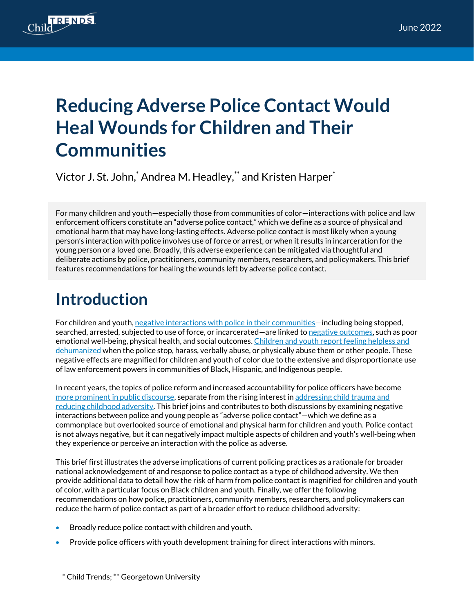

# **Reducing Adverse Police Contact Would Heal Wounds for Children and Their Communities**

Victor J. St. John, $^*$  Andrea M. Headley, $^{**}$  and Kristen Harper $^{*}$ 

For many children and youth—especially those from communities of color—interactions with police and law enforcement officers constitute an "adverse police contact," which we define as a source of physical and emotional harm that may have long-lasting effects. Adverse police contact is most likely when a young person's interaction with police involves use of force or arrest, or when it results in incarceration for the young person or a loved one. Broadly, this adverse experience can be mitigated via thoughtful and deliberate actions by police, practitioners, community members, researchers, and policymakers. This brief features recommendations for healing the wounds left by adverse police contact.

### **Introduction**

For children and youth[, negative interactions with police](https://www.pnas.org/doi/abs/10.1073/pnas.1808976116) in their communities—including being stopped, searched, arrested, subjected to use of force, or incarcerated—ar[e linked to negative outcomes,](https://journals.sagepub.com/doi/full/10.1177/0003122419826020) such as poor emotional well-being, physical health, and social outcomes. [Children and youth report feeling helpless and](https://journals.sagepub.com/doi/abs/10.1177/1078087408326973)  [dehumanized](https://journals.sagepub.com/doi/abs/10.1177/1078087408326973) when the police stop, harass, verbally abuse, or physically abuse them or other people. These negative effects are magnified for children and youth of color due to the extensive and disproportionate use of law enforcement powers in communities of Black, Hispanic, and Indigenous people.

In recent years, the topics of police reform and increased accountability for police officers have become [more prominent in public discourse,](https://www.brookings.edu/research/a-better-path-forward-for-criminal-justice-police-reform/) separate from the rising interest in [addressing child trauma and](https://www.ncsl.org/research/health/reducing-the-effects-of-adverse-childhood-experiences.aspx)  [reducing childhood adversity.](https://www.ncsl.org/research/health/reducing-the-effects-of-adverse-childhood-experiences.aspx) This brief joins and contributes to both discussions by examining negative interactions between police and young people as "adverse police contact"—which we define as a commonplace but overlooked source of emotional and physical harm for children and youth. Police contact is not always negative, but it can negatively impact multiple aspects of children and youth's well-being when they experience or perceive an interaction with the police as adverse.

This brief first illustrates the adverse implications of current policing practices as a rationale for broader national acknowledgement of and response to police contact as a type of childhood adversity. We then provide additional data to detail how the risk of harm from police contact is magnified for children and youth of color, with a particular focus on Black children and youth. Finally, we offer the following recommendations on how police, practitioners, community members, researchers, and policymakers can reduce the harm of police contact as part of a broader effort to reduce childhood adversity:

- Broadly reduce police contact with children and youth.
- Provide police officers with youth development training for direct interactions with minors.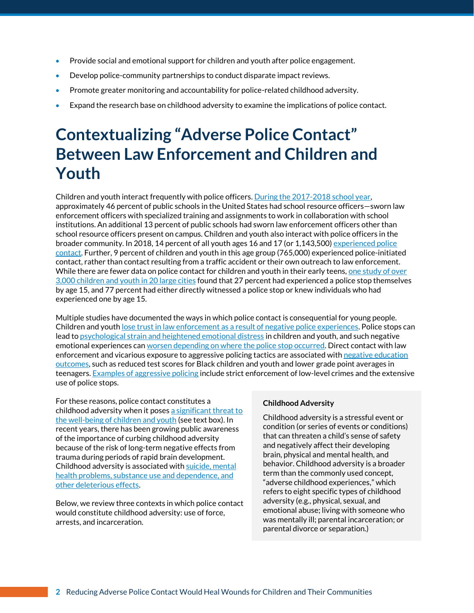- Provide social and emotional support for children and youth after police engagement.
- Develop police-community partnerships to conduct disparate impact reviews.
- Promote greater monitoring and accountability for police-related childhood adversity.
- Expand the research base on childhood adversity to examine the implications of police contact.

## **Contextualizing "Adverse Police Contact" Between Law Enforcement and Children and Youth**

Children and youth interact frequently with police officers. [During the 2017-2018 school year,](https://eric.ed.gov/?id=ED596638)  approximately 46 percent of public schools in the United States had school resource officers—sworn law enforcement officers with specialized training and assignments to work in collaboration with school institutions. An additional 13 percent of public schools had sworn law enforcement officers other than school resource officers present on campus. Children and youth also interact with police officers in the broader community. In 2018, 14 percent of all youth ages 16 and 17 (or 1,143,500) experienced police [contact.](https://bjs.ojp.gov/content/pub/pdf/cbpp18st.pdf) Further, 9 percent of children and youth in this age group (765,000) experienced police-initiated contact, rather than contact resulting from a traffic accident or their own outreach to law enforcement. While there are fewer data on police contact for children and youth in their early teens, one [study of](https://www.sciencedirect.com/science/article/abs/pii/S0190740919302099) over 3,000 children and [youth in 20 large cities](https://www.sciencedirect.com/science/article/abs/pii/S0190740919302099) found that 27 percent had experienced a police stop themselves by age 15, and 77 percent had either directly witnessed a police stop or knew individuals who had experienced one by age 15.

Multiple studies have documented the ways in which police contact is consequential for young people. Children and youth lose trust in law enforcement [as a result of negative police experiences.](https://journals.sagepub.com/doi/abs/10.1606/1044-3894.180) Police stops can lead to **psychological strain and heightened emotional distress** in children and youth, and such negative emotional experiences can [worsen depending on where the police stop occurred.](https://www.sciencedirect.com/science/article/abs/pii/S1054139X19303349) Direct contact with law enforcement and vicarious exposure to aggressive policing tactics are associated with [negative education](https://www.sciencedirect.com/science/article/abs/pii/S0190740919302099)  [outcomes,](https://www.sciencedirect.com/science/article/abs/pii/S0190740919302099) such as reduced test scores for Black children and youth and lower grade point averages in teenagers. Examples [of aggressive policing](https://journals.sagepub.com/doi/full/10.1177/0003122419826020) include strict enforcement of low-level crimes and the extensive use of police stops.

For these reasons, police contact constitutes a childhood adversity when it pose[s a significant threat](https://ajph.aphapublications.org/doi/abs/10.2105/AJPH.2021.306259?journalCode=ajph) to the well-being [of children and youth](https://ajph.aphapublications.org/doi/abs/10.2105/AJPH.2021.306259?journalCode=ajph) (see text box). In recent years, there has been growing public awareness of the importance of curbing childhood adversity because of the risk of long-term negative effects from trauma during periods of rapid brain development. Childhood adversity is associated wit[h suicide, mental](https://books.google.com/books?hl=en&lr=&id=_BreDwAAQBAJ&oi=fnd&pg=PT276&dq=Winfrey,+O.,+%26+Perry,+B.+D.+(2021).%E2%80%AFWhat+Happened+to+You%3F:+Conversations+on+Trauma,+Resilience,+and+Healing.+Flatiron+Books.&ots=3ZjayY0FbY&sig=w2GbMYEbxKl6VcK49iuuRifo1y8#v=onepage&q&f=false)  [health problems, substance use and dependence, and](https://books.google.com/books?hl=en&lr=&id=_BreDwAAQBAJ&oi=fnd&pg=PT276&dq=Winfrey,+O.,+%26+Perry,+B.+D.+(2021).%E2%80%AFWhat+Happened+to+You%3F:+Conversations+on+Trauma,+Resilience,+and+Healing.+Flatiron+Books.&ots=3ZjayY0FbY&sig=w2GbMYEbxKl6VcK49iuuRifo1y8#v=onepage&q&f=false)  [other deleterious effects.](https://books.google.com/books?hl=en&lr=&id=_BreDwAAQBAJ&oi=fnd&pg=PT276&dq=Winfrey,+O.,+%26+Perry,+B.+D.+(2021).%E2%80%AFWhat+Happened+to+You%3F:+Conversations+on+Trauma,+Resilience,+and+Healing.+Flatiron+Books.&ots=3ZjayY0FbY&sig=w2GbMYEbxKl6VcK49iuuRifo1y8#v=onepage&q&f=false)

Below, we review three contexts in which police contact would constitute childhood adversity: use of force, arrests, and incarceration.

#### **Childhood Adversity**

Childhood adversity is a stressful event or condition (or series of events or conditions) that can threaten a child's sense of safety and negatively affect their developing brain, physical and mental health, and behavior. Childhood adversity is a broader term than the commonly used concept, "adverse childhood experiences," which refers to eight specific types of childhood adversity (e.g., physical, sexual, and emotional abuse; living with someone who was mentally ill; parental incarceration; or parental divorce or separation.)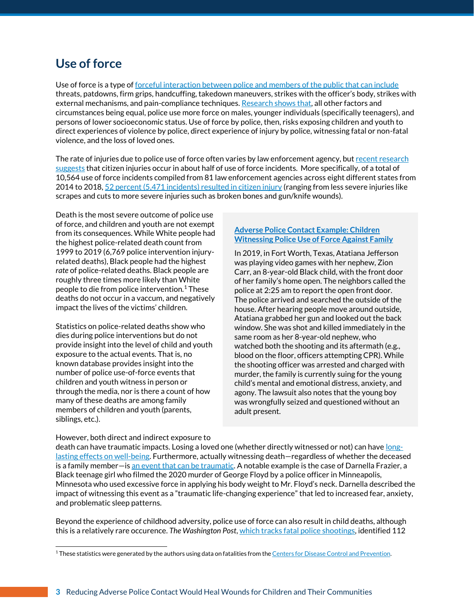### **Use of force**

Use of force is a type of <u>forceful interaction between police and [members of the public that can](https://www.ojp.gov/ncjrs/virtual-library/abstracts/police-coercion-application-force-continuum#additional-details-0) include</u> threats, patdowns, firm grips, handcuffing, takedown maneuvers, strikes with the officer's body, strikes with external mechanisms, and pain-compliance techniques. [Research shows that,](https://www.tandfonline.com/doi/abs/10.1080/07418820200095221) all other factors and circumstances being equal, police use more force on males, younger individuals (specifically teenagers), and persons of lower socioeconomic status. Use of force by police, then, risks exposing children and youth to direct experiences of violence by police, direct experience of injury by police, witnessing fatal or non-fatal violence, and the loss of loved ones.

The rate of injuries due to police use of force often varies by law enforcement agency, but recent research [suggests](https://nam04.safelinks.protection.outlook.com/?url=https%3A%2F%2Fjournals.sagepub.com%2Fdoi%2Ffull%2F10.1177%2F1098611120972961&data=05%7C01%7C%7C350ba256b03e4053944508da2ab0de18%7C380c6d8fdce34747b5fda656050bfd7f%7C1%7C0%7C637869236403615848%7CUnknown%7CTWFpbGZsb3d8eyJWIjoiMC4wLjAwMDAiLCJQIjoiV2luMzIiLCJBTiI6Ik1haWwiLCJXVCI6Mn0%3D%7C3000%7C%7C%7C&sdata=xMI2bvIHI1uK0D%2BvNYnWV35yC%2BlUsCtaWJ6aF%2BF6yJc%3D&reserved=0) that citizen injuries occur in about half of use of force incidents. More specifically, of a total of 10,564 use of force incidents compiled from 81 law enforcement agencies across eight different states from 2014 to 2018, 52 percent [\(5,471 incidents\) resulted in citizen injury](https://journals.sagepub.com/doi/full/10.1177/1098611120972961) (ranging from less severe injuries like scrapes and cuts to more severe injuries such as broken bones and gun/knife wounds).

Death is the most severe outcome of police use of force, and children and youth are not exempt from its consequences. While White people had the highest police-related death count from 1999 to 2019 (6,769 police intervention injuryrelated deaths), Black people had the highest *rate* of police-related deaths. Black people are roughly three times more likely than White people to die from police intervention.<sup>1</sup> These deaths do not occur in a vaccum, and negatively impact the lives of the victims' children.

Statistics on police-related deaths show who dies during police interventions but do not provide insight into the level of child and youth exposure to the actual events. That is, no known database provides insight into the number of police use-of-force events that children and youth witness in person or through the media, nor is there a count of how many of these deaths are among family members of children and youth (parents, siblings, etc.).

#### **[Adverse Police Contact](https://www.cnn.com/2020/07/08/us/atatiana-jefferson-siblings-police-violence/index.html) Example: Children [Witnessing Police Use of Force Against Family](https://www.cnn.com/2020/07/08/us/atatiana-jefferson-siblings-police-violence/index.html)**

In 2019, in Fort Worth, Texas, Atatiana Jefferson was playing video games with her nephew, Zion Carr, an 8-year-old Black child, with the front door of her family's home open. The neighbors called the police at 2:25 am to report the open front door. The police arrived and searched the outside of the house. After hearing people move around outside, Atatiana grabbed her gun and looked out the back window. She was shot and killed immediately in the same room as her 8-year-old nephew, who watched both the shooting and its aftermath (e.g., blood on the floor, officers attempting CPR). While the shooting officer was arrested and charged with murder, the family is currently suing for the young child's mental and emotional distress, anxiety, and agony. The lawsuit also notes that the young boy was wrongfully seized and questioned without an adult present.

#### However, both direct and indirect exposure to

death can have traumatic impacts. Losing a loved one (whether directly witnessed or not) can hav[e long](https://journals.sagepub.com/doi/abs/10.1177/1524838002237332)[lasting effects on well-being.](https://journals.sagepub.com/doi/abs/10.1177/1524838002237332) Furthermore, actually witnessing death–regardless of whether the deceased is a family member—is <u>an event that can be traumatic</u>. A notable example is the case of Darnella Frazier, a Black teenage girl who filmed the 2020 murder of George Floyd by a police officer in Minneapolis, Minnesota who used excessive force in applying his body weight to Mr. Floyd's neck. Darnella described the impact of witnessing this event as a "traumatic life-changing experience" that led to increased fear, anxiety, and problematic sleep patterns.

Beyond the experience of childhood adversity, police use of force can also result in child deaths, although this is a relatively rare occurence. *The Washington Post*, [which tracks fatal police shootings,](https://www.washingtonpost.com/graphics/investigations/police-shootings-database/) identified 112

<sup>&</sup>lt;sup>1</sup> These statistics were generated by the authors using data on fatalities from th[e Centers for Disease Control and Prevention.](https://www.cdc.gov/injury/wisqars/index.html)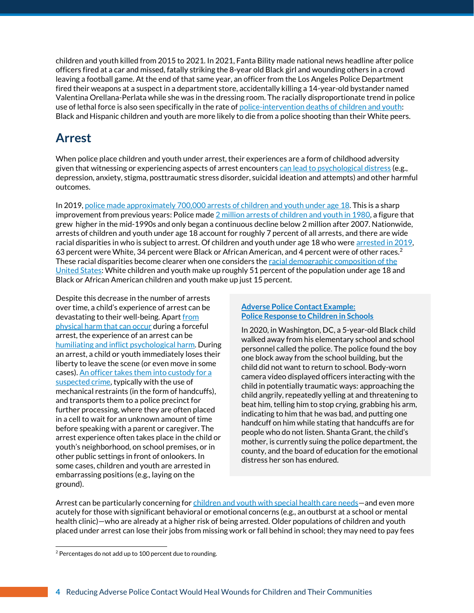children and youth killed from 2015 to 2021. In 2021, Fanta Bility made national news headline after police officers fired at a car and missed, fatally striking the 8-year old Black girl and wounding others in a crowd leaving a football game. At the end of that same year, an officer from the Los Angeles Police Department fired their weapons at a suspect in a department store, accidentally killing a 14-year-old bystander named Valentina Orellana-Perlata while she was in the dressing room. The racially disproportionate trend in police use of lethal force is also seen specifically in the rate o[f police-intervention deaths of children and youth:](https://www.publications.aap.org/pediatrics/article-split/146/6/e2020015917/33586/Racial-and-Ethnic-Disparities-in-Firearm-Related) Black and Hispanic children and youth are more likely to die from a police shooting than their White peers.

### **Arrest**

When police place children and youth under arrest, their experiences are a form of childhood adversity given that witnessing or experiencing aspects of arrest encounter[s can lead to psychological distress](https://www.sciencedirect.com/science/article/abs/pii/S1054139X21001063) (e.g., depression, anxiety, stigma, posttraumatic stress disorder, suicidal ideation and attempts) and other harmful outcomes.

In 2019, [police made approximately 700,000 arrests of children and youth under age](https://ojjdp.ojp.gov/publications/juvenile-arrests-2019.pdf) 18. This is a sharp improvement from previous years: Police made 2 [million arrests of children and youth in 1980,](https://ojjdp.ojp.gov/publications/juvenile-arrests-2019.pdf) a figure that grew higher in the mid-1990s and only began a continuous decline below 2 million after 2007. Nationwide, arrests of children and youth under age 18 account for roughly 7 percent of all arrests, and there are wide racial disparities in who is subject to arrest. Of children and youth under age 18 who were arrested in 2019, 63 percent were White, 34 percent were Black or African American, and 4 percent were of other races.<sup>2</sup> These racial disparities become clearer when one considers the racial demographic composition of the [United States:](https://www.childtrends.org/indicators/racial-and-ethnic-composition-of-the-child-population) White children and youth make up roughly 51 percent of the population under age 18 and Black or African American children and youth make up just 15 percent.

Despite this decrease in the number of arrests over time, a child's experience of arrest can be devastating to their well-being. Apart from [physical harm that can occur](http://jaapl.org/content/21/4/523#:~:text=False%20arrest%20and%20imprisonment%20can,literature%20and%20reported%20legal%20cases.) during a forceful arrest, the experience of an arrest can be [humiliating and inflict psychological harm.](https://d1wqtxts1xzle7.cloudfront.net/66972617/195.full-with-cover-page-v2.pdf?Expires=1651203552&Signature=YA7ScyJVHaO7PAdhmErIdt0S2bhJfsvgVuwRvhxppjjeD1W3EcVc3i2V6Kin95OtkgFA1dWiK-7qxkvHCNGSmjavlhPaJv26V-X9O4bd6gESc8znGbd2YHHY1F323y9KKnffkDC4SCjPRPW~0LhdOlI8OeMLrNiC47fvtLWhqfVtiUgUvLpj1yCLOGwB~yOdrXQFzm2zyqOK890fh9emIB0LcNuKxOiiV-eranusQ4I~kCyXMUuh6LfT12TW5LUshQzReoZan5m20dKenAyhH~aK0xxLeWsD1fNDslin-m4GRbWkeNsb8-IvDisUi2yYaHqJqer7rNkfhBcm5mJvDg__&Key-Pair-Id=APKAJLOHF5GGSLRBV4ZA) During an arrest, a child or youth immediately loses their liberty to leave the scene (or even move in some cases)[. An officer takes them into](https://repository.law.umich.edu/cgi/viewcontent.cgi?article=1495&context=mlr) custody for a [suspected crime,](https://repository.law.umich.edu/cgi/viewcontent.cgi?article=1495&context=mlr) typically with the use of mechanical restraints (in the form of handcuffs), and transports them to a police precinct for further processing, where they are often placed in a cell to wait for an unknown amount of time before speaking with a parent or caregiver. The arrest experience often takes place in the child or youth's neighborhood, on school premises, or in other public settings in front of onlookers. In some cases, children and youth are arrested in embarrassing positions (e.g., laying on the ground).

#### **[Adverse Police Contact Example:](https://www.nydailynews.com/news/national/ny-dc-cops-5-year-old-boy-handcuffs-mom-beat-20210327-flrlxk5wvnhnlaxubyh5oncec4-story.html)  [Police Response to Children in Schools](https://www.nydailynews.com/news/national/ny-dc-cops-5-year-old-boy-handcuffs-mom-beat-20210327-flrlxk5wvnhnlaxubyh5oncec4-story.html)**

In 2020, in Washington, DC, a 5-year-old Black child walked away from his elementary school and school personnel called the police. The police found the boy one block away from the school building, but the child did not want to return to school. Body-worn camera video displayed officers interacting with the child in potentially traumatic ways: approaching the child angrily, repeatedly yelling at and threatening to beat him, telling him to stop crying, grabbing his arm, indicating to him that he was bad, and putting one handcuff on him while stating that handcuffs are for people who do not listen. Shanta Grant, the child's mother, is currently suing the police department, the county, and the board of education for the emotional distress her son has endured.

Arrest can be particularly concerning for [children and youth with special health care needs](https://www.ncbi.nlm.nih.gov/pmc/articles/PMC8221245/)—and even more acutely for those with significant behavioral or emotional concerns (e.g., an outburst at a school or mental health clinic)—who are already at a higher risk of being arrested. Older populations of children and youth placed under arrest can lose their jobs from missing work or fall behind in school; they may need to pay fees

<sup>2</sup> Percentages do not add up to 100 percent due to rounding.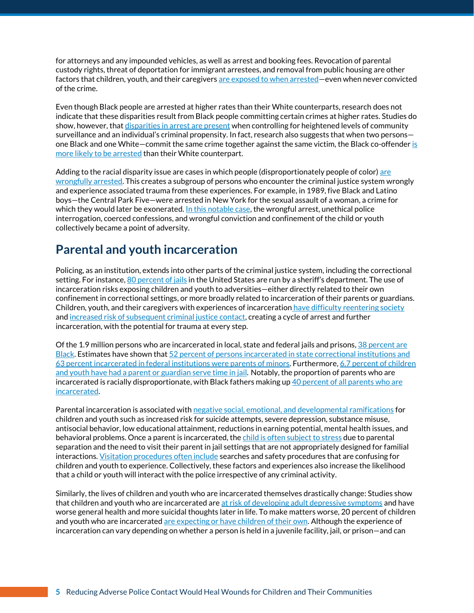for attorneys and any impounded vehicles, as well as arrest and booking fees. Revocation of parental custody rights, threat of deportation for immigrant arrestees, and removal from public housing are other factors that children, youth, and their caregivers [are exposed to when arrested](https://repository.law.umich.edu/cgi/viewcontent.cgi?article=1495&context=mlr)—even when never convicted of the crime.

Even though Black people are arrested at higher rates than their White counterparts, research does not indicate that these disparities result from Black people committing certain crimes at higher rates. Studies do show, however, tha[t disparities in arrest are present](https://link.springer.com/article/10.1007/s12552-019-09265-0) when controlling for heightened levels of community surveillance and an individual's criminal propensity. In fact, research also suggests that when two persons one Black and one White-commit the same crime together against the same victim, the Black co-offender is [more likely to be arrested](https://academic.oup.com/socpro/advance-article-abstract/doi/10.1093/socpro/spab043/6366494) than their White counterpart.

Adding to the racial disparity issue [are](https://journals.sagepub.com/doi/abs/10.1177/0887403414521461) cases in which people (disproportionately people of color) are [wrongfully arrested.](https://journals.sagepub.com/doi/abs/10.1177/0887403414521461) This creates a subgroup of persons who encounter the criminal justice system wrongly and experience associated trauma from these experiences. For example, in 1989, five Black and Latino boys—the Central Park Five—were arrested in New York for the sexual assault of a woman, a crime for which they would later be exonerated[. In this notable case,](https://psycnet.apa.org/record/2011-14421-000) the wrongful arrest, unethical police interrogation, coerced confessions, and wrongful conviction and confinement of the child or youth collectively became a point of adversity.

### **Parental and youth incarceration**

Policing, as an institution, extends into other parts of the criminal justice system, including the correctional setting. For instance[, 80 percent of jails](https://www.sheriffs.org/gcps/jail-ops) in the United States are run by a sheriff's department. The use of incarceration risks exposing children and youth to adversities—either directly related to their own confinement in correctional settings, or more broadly related to incarceration of their parents or guardians. Children, youth, and their caregivers with experiences of incarceration [have difficulty reentering society](https://www.cmcainternational.org/wp-content/uploads/2022/01/Pathways-to-Desistance-of-crime.pdf) and increased [risk of subsequent criminal justice](https://childtrends-my.sharepoint.com/personal/vstjohn_childtrends_org/Documents/Loeffler,%20C.%20E.,%20&%20Nagin,%20D.%20S.%20(2022).%20The%20impact%20of%20incarceration%20on%20recidivism.%20Annual%20Review%20of%20Criminology,%205.) contact, creating a cycle of arrest and further incarceration, with the potential for trauma at every step.

Of the 1.9 million persons who are incarcerated in local, state and federal jails and prisons, 38 [percent](https://www.prisonpolicy.org/reports/pie2022.html) are [Black.](https://www.prisonpolicy.org/reports/pie2022.html) Estimates have shown that 52 percent of persons incarcerated in state correctional institutions and 63 percent [incarcerated in federal institutions were](https://onlinelibrary.wiley.com/doi/abs/10.1111/j.1756-2589.2012.00128.x?msclkid=fcd2156cd15e11ec86de8013583ad717) parents of minors. Furthermore, 6.7 [percent of children](https://www.childhealthdata.org/browse/survey/results?q=9136&r=1)  and youth have had a parent [or guardian serve time in jail.](https://www.childhealthdata.org/browse/survey/results?q=9136&r=1) Notably, the proportion of parents who are incarcerated is racially disproportionate, with Black fathers making up 40 percent of all parents who are [incarcerated.](https://nij.ojp.gov/topics/articles/hidden-consequences-impact-incarceration-dependent-children)

Parental incarceration is associated with [negative social, emotional, and developmental ramifications](https://nij.ojp.gov/topics/articles/hidden-consequences-impact-incarceration-dependent-children) for children and youth such as increased risk for suicide attempts, severe depression, substance misuse, antisocial behavior, low educational attainment, reductions in earning potential, mental health issues, and behavioral problems. Once a parent is incarcerated, th[e child is often subject to stress](https://www.jstor.org/stable/41514962) due to parental separation and the need to visit their parent in jail settings that are not appropriately designed for familial interactions. [Visitation procedures often include](https://www.urban.org/research/publication/parent-child-visiting-practices-prisons-and-jails) searches and safety procedures that are confusing for children and youth to experience. Collectively, these factors and experiences also increase the likelihood that a child or youth will interact with the police irrespective of any criminal activity.

Similarly, the lives of children and youth who are incarcerated themselves drastically change: Studies show that children and youth who are incarcerated are [at risk of developing adult depressive symptoms](https://www.ncbi.nlm.nih.gov/pmc/articles/PMC5260153/) and have worse general health and more suicidal thoughts later in life. To make matters worse, 20 percent of children and youth who are incarcerated [are expecting or have children of their own.](https://www.ojp.gov/pdffiles1/ojjdp/227730.pdf) Although the experience of incarceration can vary depending on whether a person is held in a juvenile facility, jail, or prison—and can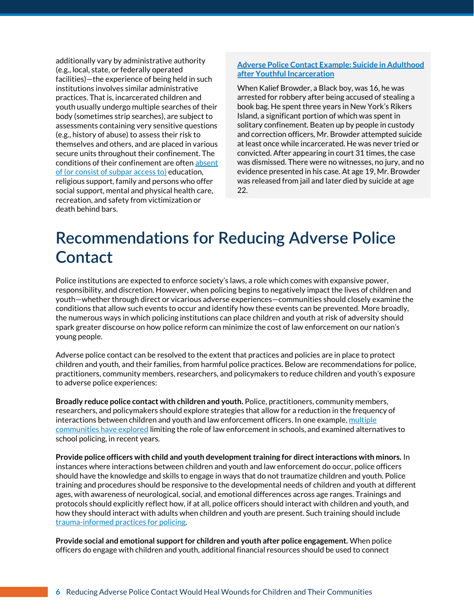additionally vary by administrative authority (e.g., local, state, or federally operated facilities)—the experience of being held in such institutions involves similar administrative practices. That is, incarcerated children and youth usually undergo multiple searches of their body (sometimes strip searches), are subject to assessments containing very sensitive questions (e.g., history of abuse) to assess their risk to themselves and others, and are placed in various secure units throughout their confinement. The conditions of their confinement are ofte[n absent](https://books.google.com/books?hl=en&lr=&id=t1wlAgAAQBAJ&oi=fnd&pg=PT13&dq=Mays,+G.+L.,+%26+Winfree+Jr,+L.+T.+(2013).%E2%80%AFEssentials+of+corrections.+John+Wiley+%26+Sons.&ots=UMs3q0Wsti&sig=wR9w8ChNIntisi911GnkvabF-Vw#v=onepage&q&f=false)  [of \(or consist of subpar access to\)](https://books.google.com/books?hl=en&lr=&id=t1wlAgAAQBAJ&oi=fnd&pg=PT13&dq=Mays,+G.+L.,+%26+Winfree+Jr,+L.+T.+(2013).%E2%80%AFEssentials+of+corrections.+John+Wiley+%26+Sons.&ots=UMs3q0Wsti&sig=wR9w8ChNIntisi911GnkvabF-Vw#v=onepage&q&f=false) education, religious support, family and persons who offer social support, mental and physical health care, recreation, and safety from victimization or death behind bars.

#### **[Adverse Police Contact Example: Suicide in Adulthood](https://www.fox5ny.com/news/will-kalief-browders-death-prompt-trial-reform)  [after Youthful Incarceration](https://www.fox5ny.com/news/will-kalief-browders-death-prompt-trial-reform)**

When Kalief Browder, a Black boy, was 16, he was arrested for robbery after being accused of stealing a book bag. He spent three years in New York's Rikers Island, a significant portion of which was spent in solitary confinement. Beaten up by people in custody and correction officers, Mr. Browder attempted suicide at least once while incarcerated. He was never tried or convicted. After appearing in court 31 times, the case was dismissed. There were no witnesses, no jury, and no evidence presented in his case. At age 19, Mr. Browder was released from jail and later died by suicide at age 22.

## **Recommendations for Reducing Adverse Police Contact**

Police institutions are expected to enforce society's laws, a role which comes with expansive power, responsibility, and discretion. However, when policing begins to negatively impact the lives of children and youth—whether through direct or vicarious adverse experiences—communities should closely examine the conditions that allow such events to occur and identify how these events can be prevented. More broadly, the numerous ways in which policing institutions can place children and youth at risk of adversity should spark greater discourse on how police reform can minimize the cost of law enforcement on our nation's young people.

Adverse police contact can be resolved to the extent that practices and policies are in place to protect children and youth, and their families, from harmful police practices. Below are recommendations for police, practitioners, community members, researchers, and policymakers to reduce children and youth's exposure to adverse police experiences:

**Broadly reduce police contact with children and youth.** Police, practitioners, community members, researchers, and policymakers should explore strategies that allow for a reduction in the frequency of interactions between children and youth and law enforcement officers. In one example, multiple [communities have explored](https://journals.sagepub.com/doi/abs/10.1177/15365042211058122) limiting the role of law enforcement in schools, and examined alternatives to school policing, in recent years.

**Provide police officers with child and youth development training for direct interactions with minors.** In instances where interactions between children and youth and law enforcement do occur, police officers should have the knowledge and skills to engage in ways that do not traumatize children and youth. Police training and procedures should be responsive to the developmental needs of children and youth at different ages, with awareness of neurological, social, and emotional differences across age ranges. Trainings and protocols should explicitly reflect how, if at all, police officers should interact with children and youth, and how they should interact with adults when children and youth are present. Such training should include [trauma-informed practices for policing.](http://researchonline.ljmu.ac.uk/id/eprint/12811/1/AA%20Uses%20and%20Misuses%20of%20ACEs%20Police.pdf)

**Provide social and emotional support for children and youth after police engagement.** When police officers do engage with children and youth, additional financial resources should be used to connect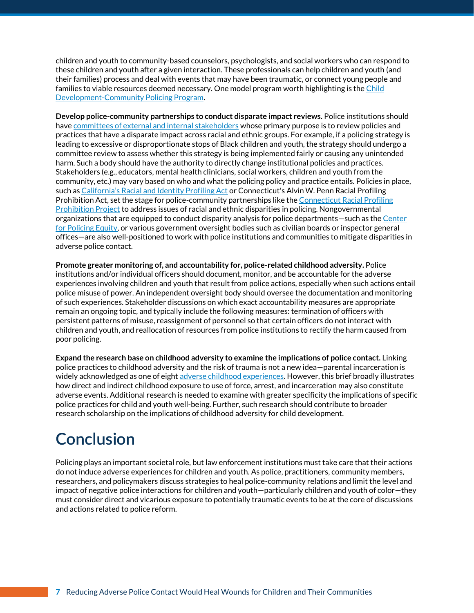children and youth to community-based counselors, psychologists, and social workers who can respond to these children and youth after a given interaction. These professionals can help children and youth (and their families) process and deal with events that may have been traumatic, or connect young people and families to viable resources deemed necessary. One model program worth highlighting is the Child [Development-Community Policing Program.](https://medicine.yale.edu/childstudy/communitypartnerships/cvtc/cdcp/)

**Develop police-community partnerships to conduct disparate impact reviews.** Police institutions should have committees of [external and internal stakeholders](https://www.researchgate.net/publication/343224283_Vilify_Them_Night_After_Night_Anti-Black_Drug_Policies_Mass_Incarceration_and_Pathways_Forward) whose primary purpose is to review policies and practices that have a disparate impact across racial and ethnic groups. For example, if a policing strategy is leading to excessive or disproportionate stops of Black children and youth, the strategy should undergo a committee review to assess whether this strategy is being implemented fairly or causing any unintended harm. Such a body should have the authority to directly change institutional policies and practices. Stakeholders (e.g., educators, mental health clinicians, social workers, children and youth from the community, etc.) may vary based on who and what the policing policy and practice entails. Policies in place, such as Ca[lifornia's Racial and Identity Profiling Act](https://oag.ca.gov/ab953) or Connecticut's Alvin W. Penn Racial Profiling Prohibition Act, set the stage for police-community partnerships like th[e Connecticut Racial Profiling](https://www.ctrp3.org/about/project-background)  [Prohibition Project](https://www.ctrp3.org/about/project-background) to address issues of racial and ethnic disparities in policing. Nongovernmental organizations that are equipped to conduct disparity analysis for police departments—such as th[e Center](https://policingequity.org/)  [for Policing Equity,](https://policingequity.org/) or various government oversight bodies such as civilian boards or inspector general offices—are also well-positioned to work with police institutions and communities to mitigate disparities in adverse police contact.

**Promote greater monitoring of, and accountability for, police-related childhood adversity.** Police institutions and/or individual officers should document, monitor, and be accountable for the adverse experiences involving children and youth that result from police actions, especially when such actions entail police misuse of power. An independent oversight body should oversee the documentation and monitoring of such experiences. Stakeholder discussions on which exact accountability measures are appropriate remain an ongoing topic, and typically include the following measures: termination of officers with persistent patterns of misuse, reassignment of personnel so that certain officers do not interact with children and youth, and reallocation of resources from police institutions to rectify the harm caused from poor policing.

**Expand the research base on childhood adversity to examine the implications of police contact.** Linking police practices to childhood adversity and the risk of trauma is not a new idea—parental incarceration is widely acknowledged as one of eigh[t adverse childhood experiences.](https://pubmed.ncbi.nlm.nih.gov/9635069/) However, this brief broadly illustrates how direct and indirect childhood exposure to use of force, arrest, and incarceration may also constitute adverse events. Additional research is needed to examine with greater specificity the implications of specific police practices for child and youth well-being. Further, such research should contribute to broader research scholarship on the implications of childhood adversity for child development.

## **Conclusion**

Policing plays an important societal role, but law enforcement institutions must take care that their actions do not induce adverse experiences for children and youth. As police, practitioners, community members, researchers, and policymakers discuss strategies to heal police-community relations and limit the level and impact of negative police interactions for children and youth—particularly children and youth of color—they must consider direct and vicarious exposure to potentially traumatic events to be at the core of discussions and actions related to police reform.